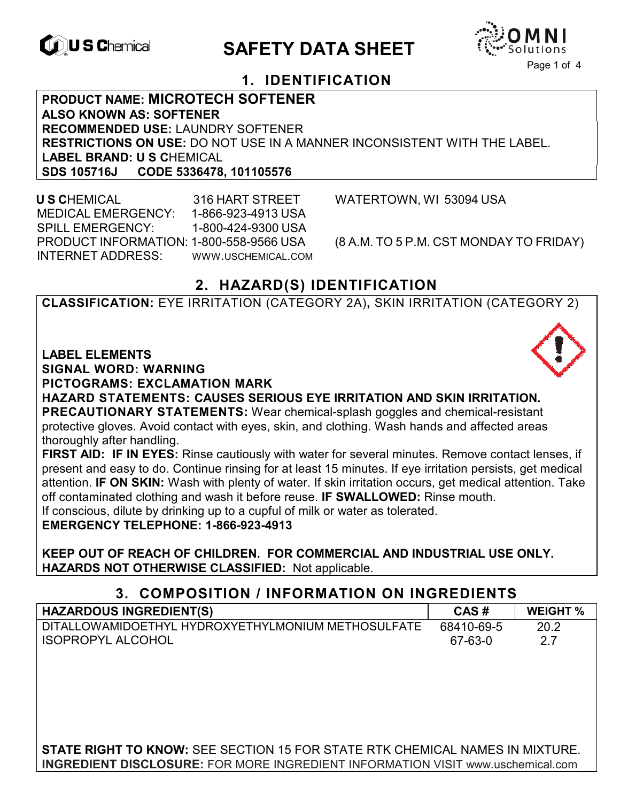

# **EXAGREM** SAFETY DATA SHEET



### **1. IDENTIFICATION**

**PRODUCT NAME: MICROTECH SOFTENER ALSO KNOWN AS: SOFTENER RECOMMENDED USE:** LAUNDRY SOFTENER **RESTRICTIONS ON USE:** DO NOT USE IN A MANNER INCONSISTENT WITH THE LABEL. **LABEL BRAND: U S C**HEMICAL **SDS 105716J CODE 5336478, 101105576** 

 **U S C**HEMICAL 316 HART STREET WATERTOWN, WI 53094 USA MEDICAL EMERGENCY: 1-866-923-4913 USA SPILL EMERGENCY: 1-800-424-9300 USA PRODUCT INFORMATION: 1-800-558-9566 USA (8 A.M. TO 5 P.M. CST MONDAY TO FRIDAY) INTERNET ADDRESS: WWW.USCHEMICAL.COM

## **2. HAZARD(S) IDENTIFICATION**

**CLASSIFICATION:** EYE IRRITATION (CATEGORY 2A)**,** SKIN IRRITATION (CATEGORY 2)

**LABEL ELEMENTS SIGNAL WORD: WARNING**

**PICTOGRAMS: EXCLAMATION MARK**

**HAZARD STATEMENTS: CAUSES SERIOUS EYE IRRITATION AND SKIN IRRITATION. PRECAUTIONARY STATEMENTS:** Wear chemical-splash goggles and chemical-resistant protective gloves. Avoid contact with eyes, skin, and clothing. Wash hands and affected areas thoroughly after handling.

**FIRST AID: IF IN EYES:** Rinse cautiously with water for several minutes. Remove contact lenses, if present and easy to do. Continue rinsing for at least 15 minutes. If eye irritation persists, get medical attention. **IF ON SKIN:** Wash with plenty of water. If skin irritation occurs, get medical attention. Take off contaminated clothing and wash it before reuse. **IF SWALLOWED:** Rinse mouth.

If conscious, dilute by drinking up to a cupful of milk or water as tolerated.

**EMERGENCY TELEPHONE: 1-866-923-4913** 

**KEEP OUT OF REACH OF CHILDREN. FOR COMMERCIAL AND INDUSTRIAL USE ONLY. HAZARDS NOT OTHERWISE CLASSIFIED:** Not applicable.

#### **3. COMPOSITION / INFORMATION ON INGREDIENTS**

| <b>HAZARDOUS INGREDIENT(S)</b>                     | CAS#       | <b>WEIGHT %</b> |
|----------------------------------------------------|------------|-----------------|
| DITALLOWAMIDOETHYL HYDROXYETHYLMONIUM METHOSULFATE | 68410-69-5 | 20.2            |
| <b>ISOPROPYL ALCOHOL</b>                           | 67-63-0    |                 |

**STATE RIGHT TO KNOW:** SEE SECTION 15 FOR STATE RTK CHEMICAL NAMES IN MIXTURE. **INGREDIENT DISCLOSURE:** FOR MORE INGREDIENT INFORMATION VISIT www.uschemical.com

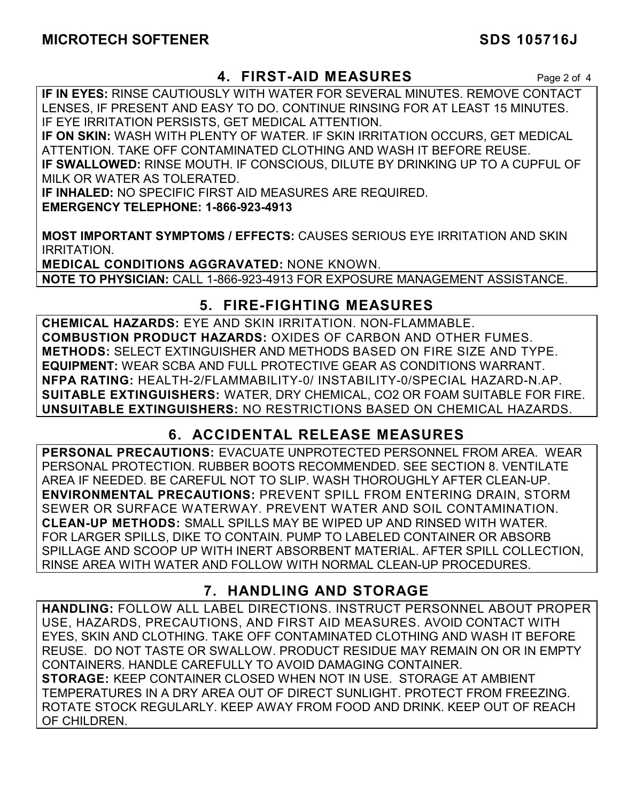#### **4. FIRST-AID MEASURES** Page 2 of 4

**IF IN EYES:** RINSE CAUTIOUSLY WITH WATER FOR SEVERAL MINUTES. REMOVE CONTACT LENSES, IF PRESENT AND EASY TO DO. CONTINUE RINSING FOR AT LEAST 15 MINUTES. IF EYE IRRITATION PERSISTS, GET MEDICAL ATTENTION.

**IF ON SKIN:** WASH WITH PLENTY OF WATER. IF SKIN IRRITATION OCCURS, GET MEDICAL ATTENTION. TAKE OFF CONTAMINATED CLOTHING AND WASH IT BEFORE REUSE. **IF SWALLOWED:** RINSE MOUTH. IF CONSCIOUS, DILUTE BY DRINKING UP TO A CUPFUL OF MILK OR WATER AS TOLERATED.

**IF INHALED:** NO SPECIFIC FIRST AID MEASURES ARE REQUIRED. **EMERGENCY TELEPHONE: 1-866-923-4913** 

**MOST IMPORTANT SYMPTOMS / EFFECTS:** CAUSES SERIOUS EYE IRRITATION AND SKIN IRRITATION.

**MEDICAL CONDITIONS AGGRAVATED:** NONE KNOWN. **NOTE TO PHYSICIAN:** CALL 1-866-923-4913 FOR EXPOSURE MANAGEMENT ASSISTANCE.

## **5. FIRE-FIGHTING MEASURES**

**CHEMICAL HAZARDS:** EYE AND SKIN IRRITATION. NON-FLAMMABLE. **COMBUSTION PRODUCT HAZARDS:** OXIDES OF CARBON AND OTHER FUMES. **METHODS:** SELECT EXTINGUISHER AND METHODS BASED ON FIRE SIZE AND TYPE. **EQUIPMENT:** WEAR SCBA AND FULL PROTECTIVE GEAR AS CONDITIONS WARRANT. **NFPA RATING:** HEALTH-2/FLAMMABILITY-0/ INSTABILITY-0/SPECIAL HAZARD-N.AP. **SUITABLE EXTINGUISHERS:** WATER, DRY CHEMICAL, CO2 OR FOAM SUITABLE FOR FIRE. **UNSUITABLE EXTINGUISHERS:** NO RESTRICTIONS BASED ON CHEMICAL HAZARDS.

## **6. ACCIDENTAL RELEASE MEASURES**

**PERSONAL PRECAUTIONS:** EVACUATE UNPROTECTED PERSONNEL FROM AREA. WEAR PERSONAL PROTECTION. RUBBER BOOTS RECOMMENDED. SEE SECTION 8. VENTILATE AREA IF NEEDED. BE CAREFUL NOT TO SLIP. WASH THOROUGHLY AFTER CLEAN-UP. **ENVIRONMENTAL PRECAUTIONS:** PREVENT SPILL FROM ENTERING DRAIN, STORM SEWER OR SURFACE WATERWAY. PREVENT WATER AND SOIL CONTAMINATION. **CLEAN-UP METHODS:** SMALL SPILLS MAY BE WIPED UP AND RINSED WITH WATER. FOR LARGER SPILLS, DIKE TO CONTAIN. PUMP TO LABELED CONTAINER OR ABSORB SPILLAGE AND SCOOP UP WITH INERT ABSORBENT MATERIAL. AFTER SPILL COLLECTION, RINSE AREA WITH WATER AND FOLLOW WITH NORMAL CLEAN-UP PROCEDURES.

## **7. HANDLING AND STORAGE**

**HANDLING:** FOLLOW ALL LABEL DIRECTIONS. INSTRUCT PERSONNEL ABOUT PROPER USE, HAZARDS, PRECAUTIONS, AND FIRST AID MEASURES. AVOID CONTACT WITH EYES, SKIN AND CLOTHING. TAKE OFF CONTAMINATED CLOTHING AND WASH IT BEFORE REUSE. DO NOT TASTE OR SWALLOW. PRODUCT RESIDUE MAY REMAIN ON OR IN EMPTY CONTAINERS. HANDLE CAREFULLY TO AVOID DAMAGING CONTAINER. **STORAGE:** KEEP CONTAINER CLOSED WHEN NOT IN USE. STORAGE AT AMBIENT TEMPERATURES IN A DRY AREA OUT OF DIRECT SUNLIGHT. PROTECT FROM FREEZING. ROTATE STOCK REGULARLY. KEEP AWAY FROM FOOD AND DRINK. KEEP OUT OF REACH OF CHILDREN.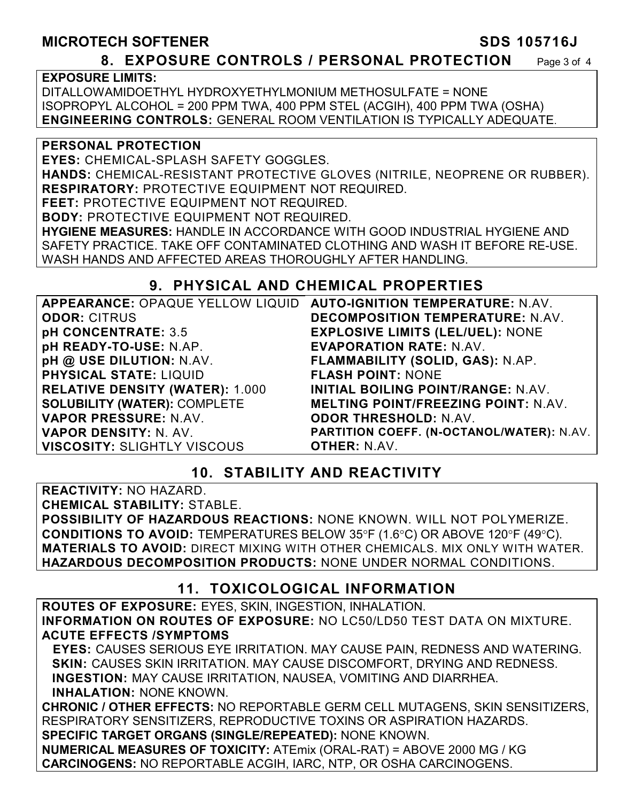# **MICROTECH SOFTENER SDS 105716J**

#### **8. EXPOSURE CONTROLS / PERSONAL PROTECTION** Page 3 of 4

**EXPOSURE LIMITS:**

DITALLOWAMIDOETHYL HYDROXYETHYLMONIUM METHOSULFATE = NONE ISOPROPYL ALCOHOL = 200 PPM TWA, 400 PPM STEL (ACGIH), 400 PPM TWA (OSHA) **ENGINEERING CONTROLS:** GENERAL ROOM VENTILATION IS TYPICALLY ADEQUATE.

**PERSONAL PROTECTION** 

**EYES:** CHEMICAL-SPLASH SAFETY GOGGLES.

**HANDS:** CHEMICAL-RESISTANT PROTECTIVE GLOVES (NITRILE, NEOPRENE OR RUBBER). **RESPIRATORY:** PROTECTIVE EQUIPMENT NOT REQUIRED.

**FEET:** PROTECTIVE EQUIPMENT NOT REQUIRED. **BODY:** PROTECTIVE EQUIPMENT NOT REQUIRED.

**HYGIENE MEASURES:** HANDLE IN ACCORDANCE WITH GOOD INDUSTRIAL HYGIENE AND SAFETY PRACTICE. TAKE OFF CONTAMINATED CLOTHING AND WASH IT BEFORE RE-USE. WASH HANDS AND AFFECTED AREAS THOROUGHLY AFTER HANDLING.

## **9. PHYSICAL AND CHEMICAL PROPERTIES**

| APPEARANCE: OPAQUE YELLOW LIQUID       | <b>AUTO-IGNITION TEMPERATURE: N.AV.</b>    |
|----------------------------------------|--------------------------------------------|
| <b>ODOR: CITRUS</b>                    | <b>DECOMPOSITION TEMPERATURE: N.AV.</b>    |
| pH CONCENTRATE: 3.5                    | <b>EXPLOSIVE LIMITS (LEL/UEL): NONE</b>    |
| pH READY-TO-USE: N.AP.                 | <b>EVAPORATION RATE: N.AV.</b>             |
| pH @ USE DILUTION: N.AV.               | FLAMMABILITY (SOLID, GAS): N.AP.           |
| <b>PHYSICAL STATE: LIQUID</b>          | <b>FLASH POINT: NONE</b>                   |
| <b>RELATIVE DENSITY (WATER): 1.000</b> | INITIAL BOILING POINT/RANGE: N.AV.         |
| <b>SOLUBILITY (WATER): COMPLETE</b>    | <b>MELTING POINT/FREEZING POINT: N.AV.</b> |
| VAPOR PRESSURE: N.AV.                  | <b>ODOR THRESHOLD: N.AV.</b>               |
| <b>VAPOR DENSITY: N. AV.</b>           | PARTITION COEFF. (N-OCTANOL/WATER): N.AV.  |
| <b>VISCOSITY: SLIGHTLY VISCOUS</b>     | <b>OTHER: N.AV.</b>                        |

## **10. STABILITY AND REACTIVITY**

**REACTIVITY:** NO HAZARD. **CHEMICAL STABILITY:** STABLE. **POSSIBILITY OF HAZARDOUS REACTIONS:** NONE KNOWN. WILL NOT POLYMERIZE. **CONDITIONS TO AVOID:** TEMPERATURES BELOW 35°F (1.6°C) OR ABOVE 120°F (49°C). **MATERIALS TO AVOID:** DIRECT MIXING WITH OTHER CHEMICALS. MIX ONLY WITH WATER. **HAZARDOUS DECOMPOSITION PRODUCTS:** NONE UNDER NORMAL CONDITIONS.

## **11. TOXICOLOGICAL INFORMATION**

**ROUTES OF EXPOSURE:** EYES, SKIN, INGESTION, INHALATION. **INFORMATION ON ROUTES OF EXPOSURE:** NO LC50/LD50 TEST DATA ON MIXTURE. **ACUTE EFFECTS /SYMPTOMS** 

 **EYES:** CAUSES SERIOUS EYE IRRITATION. MAY CAUSE PAIN, REDNESS AND WATERING. **SKIN:** CAUSES SKIN IRRITATION. MAY CAUSE DISCOMFORT, DRYING AND REDNESS. **INGESTION:** MAY CAUSE IRRITATION, NAUSEA, VOMITING AND DIARRHEA. **INHALATION:** NONE KNOWN.

**CHRONIC / OTHER EFFECTS:** NO REPORTABLE GERM CELL MUTAGENS, SKIN SENSITIZERS, RESPIRATORY SENSITIZERS, REPRODUCTIVE TOXINS OR ASPIRATION HAZARDS. **SPECIFIC TARGET ORGANS (SINGLE/REPEATED):** NONE KNOWN.

**NUMERICAL MEASURES OF TOXICITY:** ATEmix (ORAL-RAT) = ABOVE 2000 MG / KG **CARCINOGENS:** NO REPORTABLE ACGIH, IARC, NTP, OR OSHA CARCINOGENS.